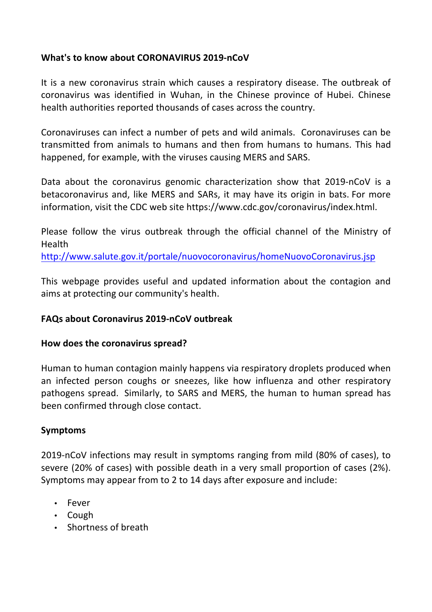### **What's to know about CORONAVIRUS 2019-nCoV**

It is a new coronavirus strain which causes a respiratory disease. The outbreak of coronavirus was identified in Wuhan, in the Chinese province of Hubei. Chinese health authorities reported thousands of cases across the country.

Coronaviruses can infect a number of pets and wild animals. Coronaviruses can be transmitted from animals to humans and then from humans to humans. This had happened, for example, with the viruses causing MERS and SARS.

Data about the coronavirus genomic characterization show that 2019-nCoV is a betacoronavirus and, like MERS and SARs, it may have its origin in bats. For more information, visit the CDC web site https://www.cdc.gov/coronavirus/index.html.

Please follow the virus outbreak through the official channel of the Ministry of Health 

http://www.salute.gov.it/portale/nuovocoronavirus/homeNuovoCoronavirus.jsp

This webpage provides useful and updated information about the contagion and aims at protecting our community's health.

#### **FAQs about Coronavirus 2019-nCoV outbreak**

#### How does the coronavirus spread?

Human to human contagion mainly happens via respiratory droplets produced when an infected person coughs or sneezes, like how influenza and other respiratory pathogens spread. Similarly, to SARS and MERS, the human to human spread has been confirmed through close contact.

#### **Symptoms**

2019-nCoV infections may result in symptoms ranging from mild (80% of cases), to severe (20% of cases) with possible death in a very small proportion of cases (2%). Symptoms may appear from to 2 to 14 days after exposure and include:

- Fever
- Cough
- Shortness of breath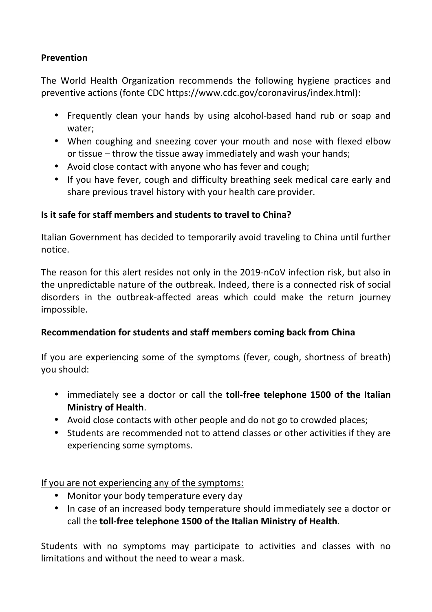## **Prevention**

The World Health Organization recommends the following hygiene practices and preventive actions (fonte CDC https://www.cdc.gov/coronavirus/index.html):

- Frequently clean your hands by using alcohol-based hand rub or soap and water;
- When coughing and sneezing cover your mouth and nose with flexed elbow or tissue  $-$  throw the tissue away immediately and wash your hands;
- Avoid close contact with anyone who has fever and cough;
- If you have fever, cough and difficulty breathing seek medical care early and share previous travel history with your health care provider.

# **Is it safe for staff members and students to travel to China?**

Italian Government has decided to temporarily avoid traveling to China until further notice.

The reason for this alert resides not only in the 2019-nCoV infection risk, but also in the unpredictable nature of the outbreak. Indeed, there is a connected risk of social disorders in the outbreak-affected areas which could make the return journey impossible.

## **Recommendation for students and staff members coming back from China**

If you are experiencing some of the symptoms (fever, cough, shortness of breath) you should:

- immediately see a doctor or call the **toll-free telephone 1500 of the Italian Ministry of Health.**
- Avoid close contacts with other people and do not go to crowded places;
- Students are recommended not to attend classes or other activities if they are experiencing some symptoms.

If you are not experiencing any of the symptoms:

- Monitor your body temperature every day
- In case of an increased body temperature should immediately see a doctor or call the **toll-free telephone 1500 of the Italian Ministry of Health.**

Students with no symptoms may participate to activities and classes with no limitations and without the need to wear a mask.